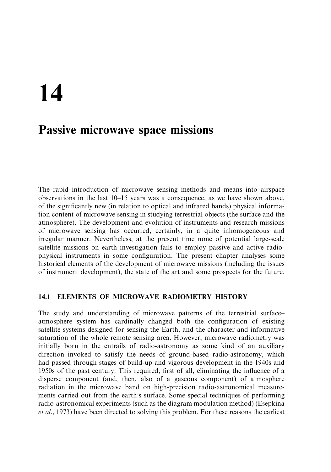# 14

## **Passive microwave space missions**

The rapid introduction of microwave sensing methods and means into airspace observations in the last  $10-15$  years was a consequence, as we have shown above, of the significantly new (in relation to optical and infrared bands) physical information content of microwave sensing in studying terrestrial objects (the surface and the atmosphere). The development and evolution of instruments and research missions of microwave sensing has occurred, certainly, in a quite inhomogeneous and irregular manner. Nevertheless, at the present time none of potential large-scale satellite missions on earth investigation fails to employ passive and active radiophysical instruments in some configuration. The present chapter analyses some historical elements of the development of microwave missions (including the issues of instrument development), the state of the art and some prospects for the future.

#### ELEMENTS OF MICROWAVE RADIOMETRY HISTORY  $14.1$

The study and understanding of microwave patterns of the terrestrial surfaceatmosphere system has cardinally changed both the configuration of existing satellite systems designed for sensing the Earth, and the character and informative saturation of the whole remote sensing area. However, microwave radiometry was initially born in the entrails of radio-astronomy as some kind of an auxiliary direction invoked to satisfy the needs of ground-based radio-astronomy, which had passed through stages of build-up and vigorous development in the 1940s and 1950s of the past century. This required, first of all, eliminating the influence of a disperse component (and, then, also of a gaseous component) of atmosphere radiation in the microwave band on high-precision radio-astronomical measurements carried out from the earth's surface. Some special techniques of performing radio-astronomical experiments (such as the diagram modulation method) (Esepkina *et al.*, 1973) have been directed to solving this problem. For these reasons the earliest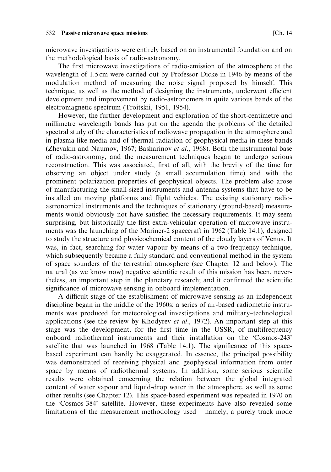microwave investigations were entirely based on an instrumental foundation and on the methodological basis of radio-astronomy.

The first microwave investigations of radio-emission of the atmosphere at the wavelength of 1.5 cm were carried out by Professor Dicke in 1946 by means of the modulation method of measuring the noise signal proposed by himself. This technique, as well as the method of designing the instruments, underwent efficient development and improvement by radio-astronomers in quite various bands of the electromagnetic spectrum (Troitskii, 1951, 1954).

However, the further development and exploration of the short-centimetre and millimetre wavelength bands has put on the agenda the problems of the detailed spectral study of the characteristics of radiowave propagation in the atmosphere and in plasma-like media and of thermal radiation of geophysical media in these bands (Zhevakin and Naumov, 1967; Basharinov et al., 1968). Both the instrumental base of radio-astronomy, and the measurement techniques began to undergo serious reconstruction. This was associated, first of all, with the brevity of the time for observing an object under study (a small accumulation time) and with the prominent polarization properties of geophysical objects. The problem also arose of manufacturing the small-sized instruments and antenna systems that have to be installed on moving platforms and flight vehicles. The existing stationary radioastronomical instruments and the techniques of stationary (ground-based) measurements would obviously not have satisfied the necessary requirements. It may seem surprising, but historically the first extra-vehicular operation of microwave instruments was the launching of the Mariner-2 spacecraft in 1962 (Table 14.1), designed to study the structure and physicochemical content of the cloudy layers of Venus. It was, in fact, searching for water vapour by means of a two-frequency technique, which subsequently became a fully standard and conventional method in the system of space sounders of the terrestrial atmosphere (see Chapter 12 and below). The natural (as we know now) negative scientific result of this mission has been, nevertheless, an important step in the planetary research; and it confirmed the scientific significance of microwave sensing in onboard implementation.

A difficult stage of the establishment of microwave sensing as an independent discipline began in the middle of the 1960s: a series of air-based radiometric instruments was produced for meteorological investigations and military-technological applications (see the review by Khodyrev et al., 1972). An important step at this stage was the development, for the first time in the USSR, of multifrequency onboard radiothermal instruments and their installation on the 'Cosmos-243' satellite that was launched in 1968 (Table 14.1). The significance of this spacebased experiment can hardly be exaggerated. In essence, the principal possibility was demonstrated of receiving physical and geophysical information from outer space by means of radiothermal systems. In addition, some serious scientific results were obtained concerning the relation between the global integrated content of water vapour and liquid-drop water in the atmosphere, as well as some other results (see Chapter 12). This space-based experiment was repeated in 1970 on the 'Cosmos-384' satellite. However, these experiments have also revealed some limitations of the measurement methodology used - namely, a purely track mode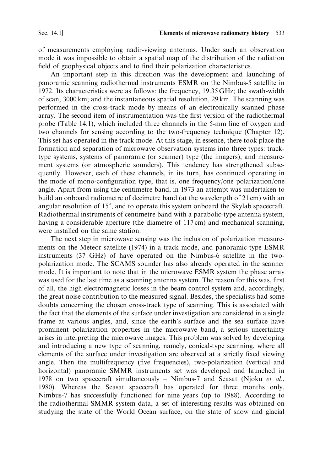of measurements employing nadir-viewing antennas. Under such an observation mode it was impossible to obtain a spatial map of the distribution of the radiation field of geophysical objects and to find their polarization characteristics.

An important step in this direction was the development and launching of panoramic scanning radiothermal instruments ESMR on the Nimbus-5 satellite in 1972. Its characteristics were as follows: the frequency, 19.35 GHz; the swath-width of scan, 3000 km; and the instantaneous spatial resolution, 29 km. The scanning was performed in the cross-track mode by means of an electronically scanned phase array. The second item of instrumentation was the first version of the radiothermal probe (Table 14.1), which included three channels in the 5-mm line of oxygen and two channels for sensing according to the two-frequency technique (Chapter 12). This set has operated in the track mode. At this stage, in essence, there took place the formation and separation of microwave observation systems into three types: tracktype systems, systems of panoramic (or scanner) type (the imagers), and measurement systems (or atmospheric sounders). This tendency has strengthened subsequently. However, each of these channels, in its turn, has continued operating in the mode of mono-configuration type, that is, one frequency/one polarization/one angle. Apart from using the centimetre band, in 1973 an attempt was undertaken to build an onboard radiometre of decimetre band (at the wavelength of 21 cm) with an angular resolution of  $15^{\circ}$ , and to operate this system onboard the Skylab spacecraft. Radiothermal instruments of centimetre band with a parabolic-type antenna system, having a considerable aperture (the diametre of 117 cm) and mechanical scanning, were installed on the same station.

The next step in microwave sensing was the inclusion of polarization measurements on the Meteor satellite (1974) in a track mode, and panoramic-type ESMR instruments (37 GHz) of have operated on the Nimbus-6 satellite in the twopolarization mode. The SCAMS sounder has also already operated in the scanner mode. It is important to note that in the microwave ESMR system the phase array was used for the last time as a scanning antenna system. The reason for this was, first of all, the high electromagnetic losses in the beam control system and, accordingly, the great noise contribution to the measured signal. Besides, the specialists had some doubts concerning the chosen cross-track type of scanning. This is associated with the fact that the elements of the surface under investigation are considered in a single frame at various angles, and, since the earth's surface and the sea surface have prominent polarization properties in the microwave band, a serious uncertainty arises in interpreting the microwave images. This problem was solved by developing and introducing a new type of scanning, namely, conical-type scanning, where all elements of the surface under investigation are observed at a strictly fixed viewing angle. Then the multifrequency (five frequencies), two-polarization (vertical and horizontal) panoramic SMMR instruments set was developed and launched in 1978 on two spacecraft simultaneously – Nimbus-7 and Seasat (Njoku et al., 1980). Whereas the Seasat spacecraft has operated for three months only, Nimbus-7 has successfully functioned for nine years (up to 1988). According to the radiothermal SMMR system data, a set of interesting results was obtained on studying the state of the World Ocean surface, on the state of snow and glacial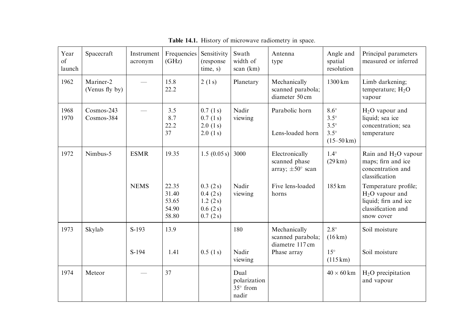| Year<br>of<br>launch | Spacecraft                  | Instrument<br>acronym | Frequencies<br>(GHz)                      | Sensitivity<br>(response)<br>time, s)                    | Swath<br>width of<br>scan (km)            | Antenna<br>type                                                 | Angle and<br>spatial<br>resolution                                               | Principal parameters<br>measured or inferred                                                         |
|----------------------|-----------------------------|-----------------------|-------------------------------------------|----------------------------------------------------------|-------------------------------------------|-----------------------------------------------------------------|----------------------------------------------------------------------------------|------------------------------------------------------------------------------------------------------|
| 1962                 | Mariner-2<br>(Venus fly by) |                       | 15.8<br>22.2                              | 2(1s)                                                    | Planetary                                 | Mechanically<br>scanned parabola;<br>diameter 50 cm             | $1300 \mathrm{km}$                                                               | Limb darkening;<br>temperature; $H_2O$<br>vapour                                                     |
| 1968<br>1970         | Cosmos-243<br>Cosmos-384    |                       | 3.5<br>8.7<br>22.2<br>37                  | 0.7(1 s)<br>0.7(1 s)<br>2.0(1 s)<br>2.0(1 s)             | Nadir<br>viewing                          | Parabolic horn<br>Lens-loaded horn                              | $8.6^\circ$<br>$3.5^\circ$<br>$3.5^\circ$<br>$3.5^\circ$<br>$(15-50 \text{ km})$ | $H2O$ vapour and<br>liquid; sea ice<br>concentration; sea<br>temperature                             |
| 1972                 | Nimbus-5                    | <b>ESMR</b>           | 19.35                                     | 1.5(0.05 s)                                              | 3000                                      | Electronically<br>scanned phase<br>array; $\pm 50^{\circ}$ scan | $1.4^\circ$<br>(29 km)                                                           | Rain and $H_2O$ vapour<br>maps; firn and ice<br>concentration and<br>classification                  |
|                      |                             | <b>NEMS</b>           | 22.35<br>31.40<br>53.65<br>54.90<br>58.80 | 0.3(2 s)<br>0.4(2 s)<br>1.2(2 s)<br>0.6(2 s)<br>0.7(2 s) | Nadir<br>viewing                          | Five lens-loaded<br>horns                                       | 185 km                                                                           | Temperature profile;<br>$H2O$ vapour and<br>liquid; firn and ice<br>classification and<br>snow cover |
| 1973                 | Skylab                      | $S-193$               | 13.9                                      |                                                          | 180                                       | Mechanically<br>scanned parabola;<br>diametre 117 cm            | $2.8^\circ$<br>$(16 \text{ km})$                                                 | Soil moisture                                                                                        |
|                      |                             | $S-194$               | 1.41                                      | 0.5(1 s)                                                 | Nadir<br>viewing                          | Phase array                                                     | $15^\circ$<br>$(115 \,\mathrm{km})$                                              | Soil moisture                                                                                        |
| 1974                 | Meteor                      |                       | 37                                        |                                                          | Dual<br>polarization<br>35° from<br>nadir |                                                                 | $40 \times 60$ km                                                                | $H2O$ precipitation<br>and vapour                                                                    |

Table 14.1. History of microwave radiometry in space.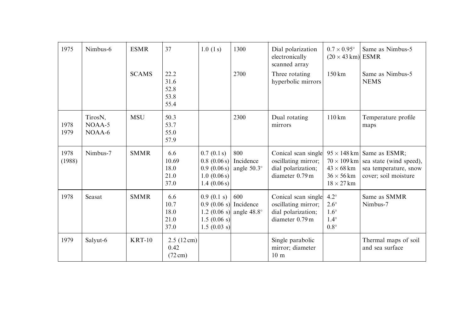| 1975           | Nimbus-6                        | <b>ESMR</b>  | 37                                                | 1.0(1 s)                                                               | 1300                                     | Dial polarization<br>electronically<br>scanned array                                | $0.7 \times 0.95^{\circ}$<br>$(20 \times 43 \text{ km})$ ESMR           | Same as Nimbus-5                                                                                                                |
|----------------|---------------------------------|--------------|---------------------------------------------------|------------------------------------------------------------------------|------------------------------------------|-------------------------------------------------------------------------------------|-------------------------------------------------------------------------|---------------------------------------------------------------------------------------------------------------------------------|
|                |                                 | <b>SCAMS</b> | 22.2<br>31.6<br>52.8<br>53.8<br>55.4              |                                                                        | 2700                                     | Three rotating<br>hyperbolic mirrors                                                | $150 \mathrm{km}$                                                       | Same as Nimbus-5<br><b>NEMS</b>                                                                                                 |
| 1978<br>1979   | TirosN,<br>$NOAA-5$<br>$NOAA-6$ | <b>MSU</b>   | 50.3<br>53.7<br>55.0<br>57.9                      |                                                                        | 2300                                     | Dual rotating<br>mirrors                                                            | $110 \mathrm{km}$                                                       | Temperature profile<br>maps                                                                                                     |
| 1978<br>(1988) | Nimbus-7                        | <b>SMMR</b>  | 6.6<br>10.69<br>18.0<br>21.0<br>37.0              | 0.7(0.1 s)<br>0.8(0.06 s)<br>0.9(0.06 s)<br>1.0(0.06 s)<br>1.4(0.06 s) | 800<br>Incidence<br>angle $50.3^\circ$   | Conical scan single<br>oscillating mirror;<br>dial polarization;<br>diameter 0.79 m | $43 \times 68$ km<br>$36 \times 56$ km<br>$18 \times 27$ km             | $95 \times 148$ km Same as ESMR;<br>$70 \times 109$ km sea state (wind speed),<br>sea temperature, snow<br>cover; soil moisture |
| 1978           | Seasat                          | <b>SMMR</b>  | 6.6<br>10.7<br>18.0<br>21.0<br>37.0               | 0.9(0.1 s)<br>$0.9$ (0.06 s) Incidence<br>1.5(0.06 s)<br>1.5(0.03 s)   | 600<br>1.2 (0.06 s) angle $48.8^{\circ}$ | Conical scan single<br>oscillating mirror;<br>dial polarization;<br>diameter 0.79 m | $4.2^\circ$<br>$2.6^\circ$<br>$1.6^\circ$<br>$1.4^\circ$<br>$0.8^\circ$ | Same as SMMR<br>Nimbus-7                                                                                                        |
| 1979           | Salyut-6                        | $KRT-10$     | $2.5(12 \text{ cm})$<br>0.42<br>$(72 \text{ cm})$ |                                                                        |                                          | Single parabolic<br>mirror; diameter<br>10 <sub>m</sub>                             |                                                                         | Thermal maps of soil<br>and sea surface                                                                                         |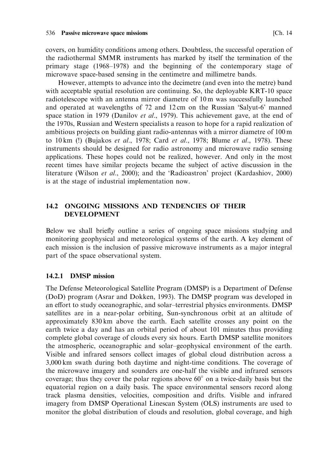covers, on humidity conditions among others. Doubtless, the successful operation of the radiothermal SMMR instruments has marked by itself the termination of the primary stage (1968–1978) and the beginning of the contemporary stage of microwave space-based sensing in the centimetre and millimetre bands.

However, attempts to advance into the decimetre (and even into the metre) band with acceptable spatial resolution are continuing. So, the deployable KRT-10 space radiotelescope with an antenna mirror diametre of 10m was successfully launched and operated at wavelengths of 72 and 12cm on the Russian 'Salyut-6' manned space station in 1979 (Danilov et al., 1979). This achievement gave, at the end of the 1970s, Russian and Western specialists a reason to hope for a rapid realization of ambitious projects on building giant radio-antennas with a mirror diametre of 100 m to 10 km (!) (Bujakos et al., 1978; Card et al., 1978; Blume et al., 1978). These instruments should be designed for radio astronomy and microwave radio sensing applications. These hopes could not be realized, however. And only in the most recent times have similar projects became the subject of active discussion in the literature (Wilson et al., 2000); and the 'Radioastron' project (Kardashiov, 2000) is at the stage of industrial implementation now.

#### $14.2$ ONGOING MISSIONS AND TENDENCIES OF THEIR **DEVELOPMENT**

Below we shall briefly outline a series of ongoing space missions studying and monitoring geophysical and meteorological systems of the earth. A key element of each mission is the inclusion of passive microwave instruments as a major integral part of the space observational system.

### 14.2.1 DMSP mission

The Defense Meteorological Satellite Program (DMSP) is a Department of Defense (DoD) program (Asrar and Dokken, 1993). The DMSP program was developed in an effort to study oceanographic, and solar-terrestrial physics environments. DMSP satellites are in a near-polar orbiting, Sun-synchronous orbit at an altitude of approximately 830 km above the earth. Each satellite crosses any point on the earth twice a day and has an orbital period of about 101 minutes thus providing complete global coverage of clouds every six hours. Earth DMSP satellite monitors the atmospheric, oceanographic and solar-geophysical environment of the earth. Visible and infrared sensors collect images of global cloud distribution across a 3,000 km swath during both daytime and night-time conditions. The coverage of the microwave imagery and sounders are one-half the visible and infrared sensors coverage; thus they cover the polar regions above  $60^{\circ}$  on a twice-daily basis but the equatorial region on a daily basis. The space environmental sensors record along track plasma densities, velocities, composition and drifts. Visible and infrared imagery from DMSP Operational Linescan System (OLS) instruments are used to monitor the global distribution of clouds and resolution, global coverage, and high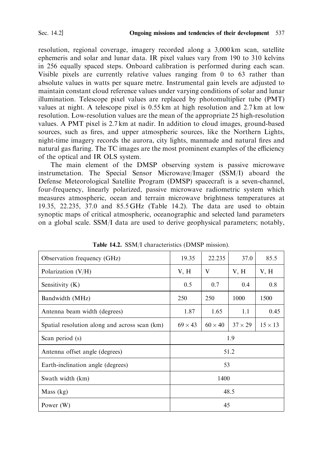resolution, regional coverage, imagery recorded along a 3,000 km scan, satellite ephemeris and solar and lunar data. IR pixel values vary from 190 to 310 kelvins in 256 equally spaced steps. Onboard calibration is performed during each scan. Visible pixels are currently relative values ranging from 0 to 63 rather than absolute values in watts per square metre. Instrumental gain levels are adjusted to maintain constant cloud reference values under varying conditions of solar and lunar illumination. Telescope pixel values are replaced by photomultiplier tube (PMT) values at night. A telescope pixel is 0.55 km at high resolution and 2.7 km at low resolution. Low-resolution values are the mean of the appropriate 25 high-resolution values. A PMT pixel is 2.7 km at nadir. In addition to cloud images, ground-based sources, such as fires, and upper atmospheric sources, like the Northern Lights, night-time imagery records the aurora, city lights, manmade and natural fires and natural gas flaring. The TC images are the most prominent examples of the efficiency of the optical and IR OLS system.

The main element of the DMSP observing system is passive microwave instrumetation. The Special Sensor Microwave/Imager (SSM/I) aboard the Defense Meteorological Satellite Program (DMSP) spacecraft is a seven-channel, four-frequency, linearly polarized, passive microwave radiometric system which measures atmospheric, ocean and terrain microwave brightness temperatures at 19.35, 22.235, 37.0 and 85.5 GHz (Table 14.2). The data are used to obtain synoptic maps of critical atmospheric, oceanographic and selected land parameters on a global scale. SSM/I data are used to derive geophysical parameters; notably,

| Observation frequency (GHz)                   | 19.35          | 22.235         | 37.0           | 85.5           |  |  |
|-----------------------------------------------|----------------|----------------|----------------|----------------|--|--|
| Polarization $(V/H)$                          | V, H           | V              | V, H           | V, H           |  |  |
| Sensitivity (K)                               | 0.5            | 0.7            | 0.4            | 0.8            |  |  |
| Bandwidth (MHz)                               | 250            | 250            | 1000           | 1500           |  |  |
| Antenna beam width (degrees)                  | 1.87           | 1.65           | 1.1            | 0.45           |  |  |
| Spatial resolution along and across scan (km) | $69 \times 43$ | $60 \times 40$ | $37 \times 29$ | $15 \times 13$ |  |  |
| Scan period (s)                               | 1.9            |                |                |                |  |  |
| Antenna offset angle (degrees)                |                |                | 51.2           |                |  |  |
| Earth-inclination angle (degrees)             |                | 53             |                |                |  |  |
| Swath width (km)                              | 1400           |                |                |                |  |  |
| Mass (kg)                                     | 48.5           |                |                |                |  |  |
| Power $(W)$                                   |                | 45             |                |                |  |  |

Table 14.2. SSM/I characteristics (DMSP mission).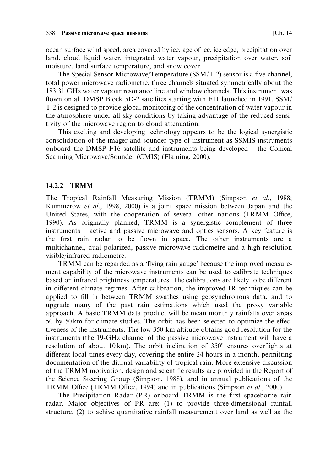ocean surface wind speed, area covered by ice, age of ice, ice edge, precipitation over land, cloud liquid water, integrated water vapour, precipitation over water, soil moisture, land surface temperature, and snow cover.

The Special Sensor Microwave/Temperature  $(SSM/T-2)$  sensor is a five-channel, total power microwave radiometre, three channels situated symmetrically about the 183.31 GHz water vapour resonance line and window channels. This instrument was flown on all DMSP Block 5D-2 satellites starting with F11 launched in 1991. SSM/ T-2 is designed to provide global monitoring of the concentration of water vapour in the atmosphere under all sky conditions by taking advantage of the reduced sensitivity of the microwave region to cloud attenuation.

This exciting and developing technology appears to be the logical synergistic consolidation of the imager and sounder type of instrument as SSMIS instruments onboard the DMSP F16 satellite and instruments being developed – the Conical Scanning Microwave/Sounder (CMIS) (Flaming, 2000).

#### 14.2.2 TRMM

The Tropical Rainfall Measuring Mission (TRMM) (Simpson et al., 1988; Kummerow et al., 1998, 2000) is a joint space mission between Japan and the United States, with the cooperation of several other nations (TRMM Office, 1990). As originally planned, TRMM is a synergistic complement of three instruments – active and passive microwave and optics sensors. A key feature is the first rain radar to be flown in space. The other instruments are a multichannel, dual polarized, passive microwave radiometre and a high-resolution visible/infrared radiometre.

TRMM can be regarded as a 'flying rain gauge' because the improved measurement capability of the microwave instruments can be used to calibrate techniques based on infrared brightness temperatures. The calibrations are likely to be different in different climate regimes. After calibration, the improved IR techniques can be applied to fill in between TRMM swathes using geosynchronous data, and to upgrade many of the past rain estimations which used the proxy variable approach. A basic TRMM data product will be mean monthly rainfalls over areas 50 by 50 km for climate studies. The orbit has been selected to optimize the effectiveness of the instruments. The low 350-km altitude obtains good resolution for the instruments (the 19-GHz channel of the passive microwave instrument will have a resolution of about 10 km). The orbit inclination of  $350^{\circ}$  ensures overflights at different local times every day, covering the entire 24 hours in a month, permitting documentation of the diurnal variability of tropical rain. More extensive discussion of the TRMM motivation, design and scientific results are provided in the Report of the Science Steering Group (Simpson, 1988), and in annual publications of the TRMM Office (TRMM Office, 1994) and in publications (Simpson et al., 2000).

The Precipitation Radar (PR) onboard TRMM is the first spaceborne rain radar. Major objectives of PR are: (1) to provide three-dimensional rainfall structure, (2) to achive quantitative rainfall measurement over land as well as the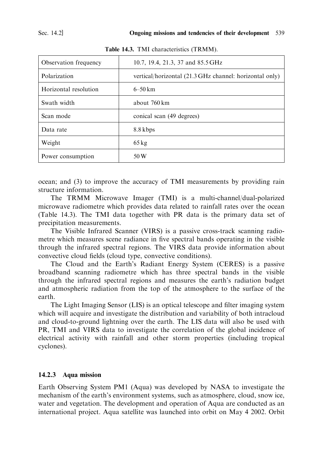| Observation frequency | 10.7, 19.4, 21.3, 37 and 85.5 GHz                       |
|-----------------------|---------------------------------------------------------|
| Polarization          | vertical/horizontal (21.3 GHz channel: horizontal only) |
| Horizontal resolution | $6 - 50$ km                                             |
| Swath width           | about 760 km                                            |
| Scan mode             | conical scan (49 degrees)                               |
| Data rate             | 8.8 kbps                                                |
| Weight                | $65 \text{ kg}$                                         |
| Power consumption     | 50 W                                                    |

Table 14.3. TMI characteristics (TRMM).

ocean; and (3) to improve the accuracy of TMI measurements by providing rain structure information.

The TRMM Microwave Imager (TMI) is a multi-channel/dual-polarized microwave radiometre which provides data related to rainfall rates over the ocean (Table 14.3). The TMI data together with PR data is the primary data set of precipitation measurements.

The Visible Infrared Scanner (VIRS) is a passive cross-track scanning radiometre which measures scene radiance in five spectral bands operating in the visible through the infrared spectral regions. The VIRS data provide information about convective cloud fields (cloud type, convective conditions).

The Cloud and the Earth's Radiant Energy System (CERES) is a passive broadband scanning radiometre which has three spectral bands in the visible through the infrared spectral regions and measures the earth's radiation budget and atmospheric radiation from the top of the atmosphere to the surface of the earth.

The Light Imaging Sensor (LIS) is an optical telescope and filter imaging system which will acquire and investigate the distribution and variability of both intracloud and cloud-to-ground lightning over the earth. The LIS data will also be used with PR, TMI and VIRS data to investigate the correlation of the global incidence of electrical activity with rainfall and other storm properties (including tropical cyclones).

### 14.2.3 Aqua mission

Earth Observing System PM1 (Aqua) was developed by NASA to investigate the mechanism of the earth's environment systems, such as atmosphere, cloud, snow ice, water and vegetation. The development and operation of Aqua are conducted as an international project. Aqua satellite was launched into orbit on May 4 2002. Orbit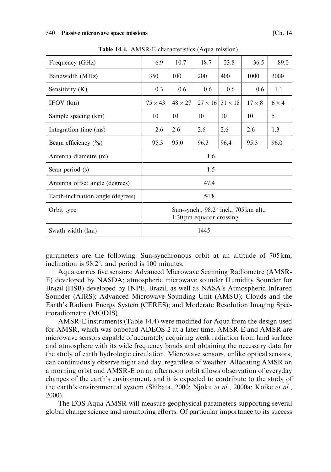| Frequency (GHz)                   | 6.9                                                                         | 10.7           | 18.7           | 23.8           | 36.5          | 89.0         |
|-----------------------------------|-----------------------------------------------------------------------------|----------------|----------------|----------------|---------------|--------------|
| Bandwidth (MHz)                   | 350                                                                         | 100            | <b>200</b>     | 400            | 1000          | 3000         |
| Sensitivity (K)                   | 0.3                                                                         | $0.6^{\circ}$  | 0.6            | 0.6            | $0.6^{\circ}$ | 1.1          |
| IFOV (km)                         | $75 \times 43$                                                              | $48 \times 27$ | $27 \times 16$ | $31 \times 18$ | $17 \times 8$ | $6 \times 4$ |
| Sample spacing (km)               | 10                                                                          | 10             | 10             | 10             | 10            | 5            |
| Integration time (ms)             | 2.6                                                                         | 2.6            | 2.6            | 2.6            | 2.6           | 1.3          |
| Beam efficiency $(\% )$           | 95.3                                                                        | 95.0           | 96.3           | 96.4           | 95.3          | 96.0         |
| Antenna diametre (m)              |                                                                             |                | 1.6            |                |               |              |
| Scan period (s)                   |                                                                             |                | 1.5            |                |               |              |
| Antenna offset angle (degrees)    |                                                                             |                | 47.4           |                |               |              |
| Earth-inclination angle (degrees) |                                                                             |                | 54.8           |                |               |              |
| Orbit type                        | Sun-synch., 98.2° incl., 705 km alt.,<br>$1:30 \text{ pm}$ equator crossing |                |                |                |               |              |
| Swath width (km)                  |                                                                             |                | 1445           |                |               |              |

Table 14.4. AMSR-E characteristics (Aqua mission).

parameters are the following: Sun-synchronous orbit at an altitude of 705 km; inclination is  $98.2^{\circ}$ ; and period is 100 minutes.

Aqua carries five sensors: Advanced Microwave Scanning Radiometre (AMSR-E) developed by NASDA; atmospheric microwave sounder Humidity Sounder for Brazil (HSB) developed by INPE, Brazil, as well as NASA's Atmospheric Infrared Sounder (AIRS); Advanced Microwave Sounding Unit (AMSU); Clouds and the Earth's Radiant Energy System (CERES); and Moderate Resolution Imaging Spectroradiometre (MODIS).

AMSR-E instruments (Table 14.4) were modified for Aqua from the design used for AMSR, which was onboard ADEOS-2 at a later time. AMSR-E and AMSR are microwave sensors capable of accurately acquiring weak radiation from land surface and atmosphere with its wide frequency bands and obtaining the necessary data for the study of earth hydrologic circulation. Microwave sensors, unlike optical sensors, can continuously observe night and day, regardless of weather. Allocating AMSR on a morning orbit and AMSR-E on an afternoon orbit allows observation of everyday changes of the earth's environment, and it is expected to contribute to the study of the earth's environmental system (Shibata, 2000; Njoku et al., 2000a; Koike et al.,  $2000$ ).

The EOS Aqua AMSR will measure geophysical parameters supporting several global change science and monitoring efforts. Of particular importance to its success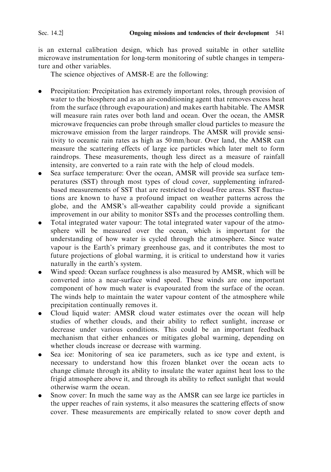is an external calibration design, which has proved suitable in other satellite microwave instrumentation for long-term monitoring of subtle changes in temperature and other variables

The science objectives of AMSR-E are the following:

- Precipitation: Precipitation has extremely important roles, through provision of water to the biosphere and as an air-conditioning agent that removes excess heat from the surface (through evapouration) and makes earth habitable. The AMSR will measure rain rates over both land and ocean. Over the ocean, the AMSR microwave frequencies can probe through smaller cloud particles to measure the microwave emission from the larger raindrops. The AMSR will provide sensitivity to oceanic rain rates as high as 50 mm/hour. Over land, the AMSR can measure the scattering effects of large ice particles which later melt to form raindrops. These measurements, though less direct as a measure of rainfall intensity, are converted to a rain rate with the help of cloud models.
- Sea surface temperature: Over the ocean, AMSR will provide sea surface temperatures (SST) through most types of cloud cover, supplementing infraredbased measurements of SST that are restricted to cloud-free areas. SST fluctuations are known to have a profound impact on weather patterns across the globe, and the AMSR's all-weather capability could provide a significant improvement in our ability to monitor SSTs and the processes controlling them.
- Total integrated water vapour: The total integrated water vapour of the atmosphere will be measured over the ocean, which is important for the understanding of how water is cycled through the atmosphere. Since water vapour is the Earth's primary greenhouse gas, and it contributes the most to future projections of global warming, it is critical to understand how it varies naturally in the earth's system.
- Wind speed: Ocean surface roughness is also measured by AMSR, which will be converted into a near-surface wind speed. These winds are one important component of how much water is evapourated from the surface of the ocean. The winds help to maintain the water vapour content of the atmosphere while precipitation continually removes it.
- Cloud liquid water: AMSR cloud water estimates over the ocean will help studies of whether clouds, and their ability to reflect sunlight, increase or decrease under various conditions. This could be an important feedback mechanism that either enhances or mitigates global warming, depending on whether clouds increase or decrease with warming.
- Sea ice: Monitoring of sea ice parameters, such as ice type and extent, is necessary to understand how this frozen blanket over the ocean acts to change climate through its ability to insulate the water against heat loss to the frigid atmosphere above it, and through its ability to reflect sunlight that would otherwise warm the ocean.
- Snow cover: In much the same way as the AMSR can see large ice particles in the upper reaches of rain systems, it also measures the scattering effects of snow cover. These measurements are empirically related to snow cover depth and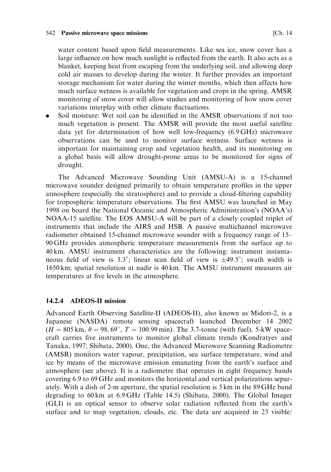#### 542 Passive microwave space missions

water content based upon field measurements. Like sea ice, snow cover has a large influence on how much sunlight is reflected from the earth. It also acts as a blanket, keeping heat from escaping from the underlying soil, and allowing deep cold air masses to develop during the winter. It further provides an important storage mechanism for water during the winter months, which then affects how much surface wetness is available for vegetation and crops in the spring. AMSR monitoring of snow cover will allow studies and monitoring of how snow cover variations interplay with other climate fluctuations.

Soil moisture: Wet soil can be identified in the AMSR observations if not too  $\bullet$ much vegetation is present. The AMSR will provide the most useful satellite data yet for determination of how well low-frequency (6.9 GHz) microwave observations can be used to monitor surface wetness. Surface wetness is important for maintaining crop and vegetation health, and its monitoring on a global basis will allow drought-prone areas to be monitored for signs of drought.

The Advanced Microwave Sounding Unit (AMSU-A) is a 15-channel microwave sounder designed primarily to obtain temperature profiles in the upper atmosphere (especially the stratosphere) and to provide a cloud-filtering capability for tropospheric temperature observations. The first AMSU was launched in May 1998 on board the National Oceanic and Atmospheric Administration's (NOAA's) NOAA-15 satellite. The EOS AMSU-A will be part of a closely coupled triplet of instruments that include the AIRS and HSB. A passive multichannel microwave radiometer obtained 15-channel microwave sounder with a frequency range of 15-90 GHz provides atmospheric temperature measurements from the surface up to 40 km. AMSU instrument characteristics are the following: instrument instantaneous field of view is 3.3°; linear scan field of view is  $\pm$ 49.5°; swath width is 1650 km; spatial resolution at nadir is 40 km. The AMSU instrument measures air temperatures at five levels in the atmosphere.

#### 14.2.4 **ADEOS-II mission**

Advanced Earth Observing Satellite-II (ADEOS-II), also known as Midori-2, is a Japanese (NASDA) remote sensing spacecraft launched December 14 2002  $(H = 805 \text{ km}, \theta = 98,69^{\circ}, T = 100.99 \text{ min})$ . The 3.7-tonne (with fuel), 5-kW spacecraft carries five instruments to monitor global climate trends (Kondratyev and Tanaka, 1997; Shibata, 2000). One, the Advanced Microwave Scanning Radiometre (AMSR) monitors water vapour, precipitation, sea surface temperature, wind and ice by means of the microwave emission emanating from the earth's surface and atmosphere (see above). It is a radiometre that operates in eight frequency bands covering 6.9 to 69 GHz and monitors the horizontal and vertical polarizations separately. With a dish of 2-m aperture, the spatial resolution is 5 km in the 89 GHz band degrading to 60 km at 6.9 GHz (Table 14.5) (Shibata, 2000). The Global Imager (GLI) is an optical sensor to observe solar radiation reflected from the earth's surface and to map vegetation, clouds, etc. The data are acquired in 23 visible/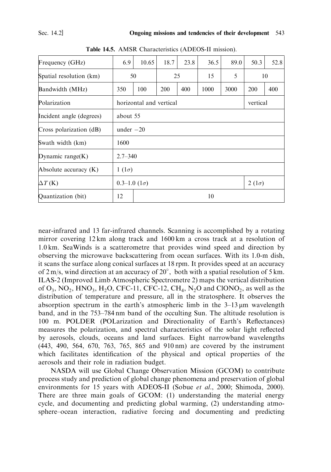| Frequency (GHz)          | 6.9                                     | 10.65 | 18.7 | 23.8 | 36.5 | 89.0 | 50.3 | 52.8 |
|--------------------------|-----------------------------------------|-------|------|------|------|------|------|------|
| Spatial resolution (km)  | 50                                      |       | 25   |      | 15   | 5    |      | 10   |
| Bandwidth (MHz)          | 350                                     | 100   | 200  | 400  | 1000 | 3000 | 200  | 400  |
| Polarization             | horizontal and vertical<br>vertical     |       |      |      |      |      |      |      |
| Incident angle (degrees) | about 55                                |       |      |      |      |      |      |      |
| Cross polarization (dB)  | under $-20$                             |       |      |      |      |      |      |      |
| Swath width (km)         | 1600                                    |       |      |      |      |      |      |      |
| Dynamic range $(K)$      | $2.7 - 340$                             |       |      |      |      |      |      |      |
| Absolute accuracy (K)    | $1(1\sigma)$                            |       |      |      |      |      |      |      |
| $\Delta T$ (K)           | $0.3-1.0$ (1 $\sigma$ )<br>$2(1\sigma)$ |       |      |      |      |      |      |      |
| Quantization (bit)       | 12<br>10                                |       |      |      |      |      |      |      |

Table 14.5. AMSR Characteristics (ADEOS-II mission).

near-infrared and 13 far-infrared channels. Scanning is accomplished by a rotating mirror covering 12 km along track and 1600 km a cross track at a resolution of 1.0 km. SeaWinds is a scatterometre that provides wind speed and direction by observing the microwave backscattering from ocean surfaces. With its 1.0-m dish, it scans the surface along conical surfaces at 18 rpm. It provides speed at an accuracy of  $2 \text{ m/s}$ , wind direction at an accuracy of  $20^{\circ}$ , both with a spatial resolution of 5 km. ILAS-2 (Improved Limb Atmospheric Spectrometre 2) maps the vertical distribution of  $O_3$ ,  $NO_2$ ,  $HNO_3$ ,  $H_2O$ , CFC-11, CFC-12, CH<sub>4</sub>,  $N_2O$  and ClONO<sub>2</sub>, as well as the distribution of temperature and pressure, all in the stratosphere. It observes the absorption spectrum in the earth's atmospheric limb in the  $3-13 \mu m$  wavelength band, and in the 753–784 nm band of the occulting Sun. The altitude resolution is 100 m. POLDER (POLarization and Directionality of Earth's Reflectances) measures the polarization, and spectral characteristics of the solar light reflected by aerosols, clouds, oceans and land surfaces. Eight narrowband wavelengths (443, 490, 564, 670, 763, 765, 865 and 910 nm) are covered by the instrument which facilitates identification of the physical and optical properties of the aerosols and their role in radiation budget.

NASDA will use Global Change Observation Mission (GCOM) to contribute process study and prediction of global change phenomena and preservation of global environments for 15 years with ADEOS-II (Sobue et al., 2000; Shimoda, 2000). There are three main goals of GCOM: (1) understanding the material energy cycle, and documenting and predicting global warming, (2) understanding atmosphere–ocean interaction, radiative forcing and documenting and predicting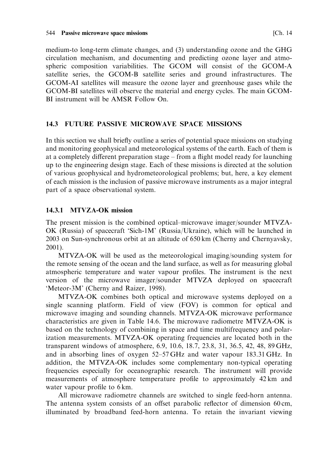medium-to long-term climate changes, and (3) understanding ozone and the GHG circulation mechanism, and documenting and predicting ozone layer and atmospheric composition variabilities. The GCOM will consist of the GCOM-A satellite series, the GCOM-B satellite series and ground infrastructures. The GCOM-AI satellites will measure the ozone layer and greenhouse gases while the GCOM-BI satellites will observe the material and energy cycles. The main GCOM-BI instrument will be AMSR Follow On.

## 14.3 FUTURE PASSIVE MICROWAVE SPACE MISSIONS

In this section we shall briefly outline a series of potential space missions on studying and monitoring geophysical and meteorological systems of the earth. Each of them is at a completely different preparation stage - from a flight model ready for launching up to the engineering design stage. Each of these missions is directed at the solution of various geophysical and hydrometeorological problems; but, here, a key element of each mission is the inclusion of passive microwave instruments as a major integral part of a space observational system.

## 14.3.1 MTVZA-OK mission

The present mission is the combined optical–microwave imager/sounder MTVZA-OK (Russia) of spacecraft 'Sich-1M' (Russia/Ukraine), which will be launched in 2003 on Sun-synchronous orbit at an altitude of 650 km (Cherny and Chernyavsky,  $2001$ ).

MTVZA-OK will be used as the meteorological imaging/sounding system for the remote sensing of the ocean and the land surface, as well as for measuring global atmospheric temperature and water vapour profiles. The instrument is the next version of the microwave imager/sounder MTVZA deployed on spacecraft 'Meteor-3M' (Cherny and Raizer, 1998).

MTVZA-OK combines both optical and microwave systems deployed on a single scanning platform. Field of view (FOV) is common for optical and microwave imaging and sounding channels. MTVZA-OK microwave performance characteristics are given in Table 14.6. The microwave radiometre MTVZA-OK is based on the technology of combining in space and time multifrequency and polarization measurements. MTVZA-OK operating frequencies are located both in the transparent windows of atmosphere, 6.9, 10.6, 18.7, 23.8, 31, 36.5, 42, 48, 89 GHz, and in absorbing lines of oxygen 52–57 GHz and water vapour 183.31 GHz. In addition, the MTVZA-OK includes some complementary non-typical operating frequencies especially for oceanographic research. The instrument will provide measurements of atmosphere temperature profile to approximately 42 km and water vapour profile to 6 km.

All microwave radiometre channels are switched to single feed-horn antenna. The antenna system consists of an offset parabolic reflector of dimension 60 cm, illuminated by broadband feed-horn antenna. To retain the invariant viewing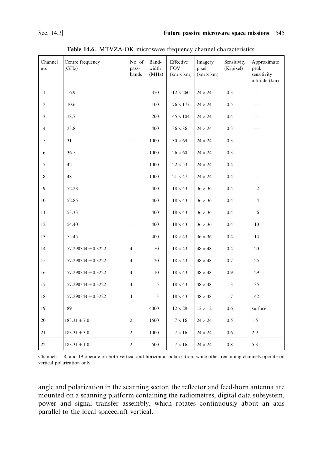| Channel<br>no. | Centre frequency<br>(GHz) | No. of<br>pass-<br>bands | Band-<br>width<br>(MHz) | Effective<br><b>FOV</b><br>$(km \times km)$ | Imagery<br>pixel<br>$(km \times km)$ | Sensitivity<br>(K/pixel) | Approximate<br>peak<br>sensitivity<br>altitude (km) |
|----------------|---------------------------|--------------------------|-------------------------|---------------------------------------------|--------------------------------------|--------------------------|-----------------------------------------------------|
| $\mathbf{1}$   | 6.9                       | $\mathbf{1}$             | 350                     | $112 \times 260$                            | $24 \times 24$                       | 0.3                      | $\overline{\phantom{0}}$                            |
| $\overline{2}$ | 10.6                      | $\mathbf{1}$             | 100                     | $76 \times 177$                             | $24 \times 24$                       | 0.5                      |                                                     |
| $\mathfrak{Z}$ | 18.7                      | $\mathbf{1}$             | 200                     | $45 \times 104$                             | $24 \times 24$                       | 0.4                      |                                                     |
| $\overline{4}$ | 23.8                      | $\mathbf{1}$             | 400                     | $36 \times 86$                              | $24 \times 24$                       | 0.3                      | $\overline{\phantom{0}}$                            |
| 5              | 31                        | $\mathbf{1}$             | 1000                    | $30 \times 69$                              | $24 \times 24$                       | 0.3                      | $\equiv$                                            |
| 6              | 36.5                      | $\mathbf{1}$             | 1000                    | $26 \times 60$                              | $24 \times 24$                       | 0.3                      |                                                     |
| $\tau$         | 42                        | $\mathbf{1}$             | 1000                    | $22 \times 53$                              | $24 \times 24$                       | 0.4                      | $\overline{\phantom{0}}$                            |
| 8              | 48                        | $\mathbf{1}$             | 1000                    | $21 \times 47$                              | $24 \times 24$                       | 0.4                      |                                                     |
| 9              | 52.28                     | $\mathbf{1}$             | 400                     | $18 \times 43$                              | $36 \times 36$                       | 0.4                      | $\overline{c}$                                      |
| 10             | 52.85                     | $\mathbf{1}$             | 400                     | $18 \times 43$                              | $36 \times 36$                       | 0.4                      | $\overline{4}$                                      |
| 11             | 53.33                     | $\mathbf{1}$             | 400                     | $18 \times 43$                              | $36 \times 36$                       | 0.4                      | 6                                                   |
| 12             | 54.40                     | $\mathbf{1}$             | 400                     | $18 \times 43$                              | $36 \times 36$                       | 0.4                      | 10                                                  |
| 13             | 55.45                     | $\mathbf{1}$             | 400                     | $18 \times 43$                              | $36 \times 36$                       | 0.4                      | 14                                                  |
| 14             | 57.290344 $\pm$ 0.3222    | $\overline{4}$           | 50                      | $18 \times 43$                              | $48 \times 48$                       | 0.4                      | 20                                                  |
| 15             | 57.290344 $\pm$ 0.3222    | $\overline{4}$           | 20                      | $18 \times 43$                              | $48 \times 48$                       | 0.7                      | 25                                                  |
| 16             | 57.290344 $\pm$ 0.3222    | $\overline{4}$           | 10                      | $18 \times 43$                              | $48 \times 48$                       | 0.9                      | 29                                                  |
| 17             | 57.290344 $\pm$ 0.3222    | 4                        | 5                       | $18 \times 43$                              | $48 \times 48$                       | 1.3                      | 35                                                  |
| 18             | 57.290344 $\pm$ 0.3222    | $\overline{4}$           | 3                       | $18 \times 43$                              | $48 \times 48$                       | 1.7                      | 42                                                  |
| 19             | 89                        | $\mathbf{1}$             | 4000                    | $12 \times 28$                              | $12 \times 12$                       | 0.6                      | surface                                             |
| 20             | $183.31 \pm 7.0$          | 2                        | 1500                    | $7 \times 16$                               | $24 \times 24$                       | 0.5                      | 1.5                                                 |
| 21             | $183.31 \pm 3.0$          | $\overline{2}$           | 1000                    | $7 \times 16$                               | $24 \times 24$                       | 0.6                      | 2.9                                                 |
| 22             | $183.31 \pm 1.0$          | $\overline{c}$           | 500                     | $7 \times 16$                               | $24 \times 24$                       | 0.8                      | 5.3                                                 |

Table 14.6. MTVZA-OK microwave frequency channel characteristics.

Channels 1–8, and 19 operate on both vertical and horizontal polarization, while other remaining channels operate on vertical polarization only.

angle and polarization in the scanning sector, the reflector and feed-horn antenna are mounted on a scanning platform containing the radiometres, digital data subsystem, power and signal transfer assembly, which rotates continuously about an axis parallel to the local spacecraft vertical.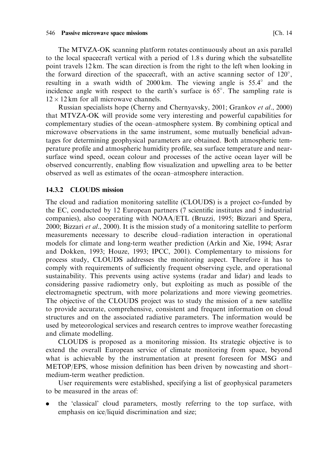The MTVZA-OK scanning platform rotates continuously about an axis parallel to the local spacecraft vertical with a period of 1.8 s during which the subsatellite point travels 12 km. The scan direction is from the right to the left when looking in the forward direction of the spacecraft, with an active scanning sector of  $120^{\circ}$ , resulting in a swath width of 2000 km. The viewing angle is 55.4° and the incidence angle with respect to the earth's surface is 65°. The sampling rate is  $12 \times 12$  km for all microwave channels.

Russian specialists hope (Cherny and Chernyavsky, 2001; Grankov et al., 2000) that MTVZA-OK will provide some very interesting and powerful capabilities for complementary studies of the ocean-atmosphere system. By combining optical and microwave observations in the same instrument, some mutually beneficial advantages for determining geophysical parameters are obtained. Both atmospheric temperature profile and atmospheric humidity profile, sea surface temperature and nearsurface wind speed, ocean colour and processes of the active ocean layer will be observed concurrently, enabling flow visualization and upwelling area to be better observed as well as estimates of the ocean-atmosphere interaction.

#### 14.3.2 CLOUDS mission

The cloud and radiation monitoring satellite (CLOUDS) is a project co-funded by the EC, conducted by 12 European partners (7 scientific institutes and 5 industrial companies), also cooperating with NOAA/ETL (Bruzzi, 1995; Bizzari and Spera, 2000; Bizzari et al., 2000). It is the mission study of a monitoring satellite to perform measurements necessary to describe cloud-radiation interaction in operational models for climate and long-term weather prediction (Arkin and Xie, 1994; Asrar and Dokken, 1993; Houze, 1993; IPCC, 2001). Complementary to missions for process study, CLOUDS addresses the monitoring aspect. Therefore it has to comply with requirements of sufficiently frequent observing cycle, and operational sustainability. This prevents using active systems (radar and lidar) and leads to considering passive radiometry only, but exploiting as much as possible of the electromagnetic spectrum, with more polarizations and more viewing geometries. The objective of the CLOUDS project was to study the mission of a new satellite to provide accurate, comprehensive, consistent and frequent information on cloud structures and on the associated radiative parameters. The information would be used by meteorological services and research centres to improve weather forecasting and climate modelling.

CLOUDS is proposed as a monitoring mission. Its strategic objective is to extend the overall European service of climate monitoring from space, beyond what is achievable by the instrumentation at present foreseen for MSG and METOP/EPS, whose mission definition has been driven by nowcasting and shortmedium-term weather prediction.

User requirements were established, specifying a list of geophysical parameters to be measured in the areas of:

the 'classical' cloud parameters, mostly referring to the top surface, with emphasis on ice/liquid discrimination and size;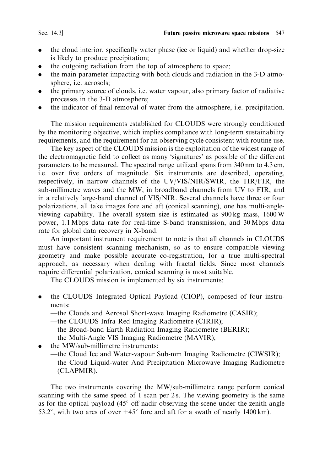#### Sec. 14.3]

- the cloud interior, specifically water phase (ice or liquid) and whether drop-size is likely to produce precipitation;
- the outgoing radiation from the top of atmosphere to space;
- the main parameter impacting with both clouds and radiation in the 3-D atmosphere, i.e. aerosols;
- the primary source of clouds, i.e. water vapour, also primary factor of radiative processes in the 3-D atmosphere;
- the indicator of final removal of water from the atmosphere, i.e. precipitation.

The mission requirements established for CLOUDS were strongly conditioned by the monitoring objective, which implies compliance with long-term sustainability requirements, and the requirement for an observing cycle consistent with routine use.

The key aspect of the CLOUDS mission is the exploitation of the widest range of the electromagnetic field to collect as many 'signatures' as possible of the different parameters to be measured. The spectral range utilized spans from 340 nm to 4.3 cm, i.e. over five orders of magnitude. Six instruments are described, operating, respectively, in narrow channels of the UV/VIS/NIR/SWIR, the TIR/FIR, the sub-millimetre waves and the MW, in broadband channels from UV to FIR, and in a relatively large-band channel of VIS/NIR. Several channels have three or four polarizations, all take images fore and aft (conical scanning), one has multi-angleviewing capability. The overall system size is estimated as 900 kg mass, 1600 W power, 1.1 Mbps data rate for real-time S-band transmission, and 30 Mbps data rate for global data recovery in X-band.

An important instrument requirement to note is that all channels in CLOUDS must have consistent scanning mechanism, so as to ensure compatible viewing geometry and make possible accurate co-registration, for a true multi-spectral approach, as necessary when dealing with fractal fields. Since most channels require differential polarization, conical scanning is most suitable.

The CLOUDS mission is implemented by six instruments:

- the CLOUDS Integrated Optical Payload (CIOP), composed of four instru- $\blacktriangle$ ments:
	- -the Clouds and Aerosol Short-wave Imaging Radiometre (CASIR);
	- -the CLOUDS Infra Red Imaging Radiometre (CIRIR);
	- -the Broad-band Earth Radiation Imaging Radiometre (BERIR);
	- -the Multi-Angle VIS Imaging Radiometre (MAVIR);
- the MW/sub-millimetre instruments:
	- -the Cloud Ice and Water-vapour Sub-mm Imaging Radiometre (CIWSIR);
	- -the Cloud Liquid-water And Precipitation Microwave Imaging Radiometre (CLAPMIR).

The two instruments covering the MW/sub-millimetre range perform conical scanning with the same speed of 1 scan per 2s. The viewing geometry is the same as for the optical payload (45° off-nadir observing the scene under the zenith angle 53.2°, with two arcs of over  $\pm 45^{\circ}$  fore and aft for a swath of nearly 1400 km).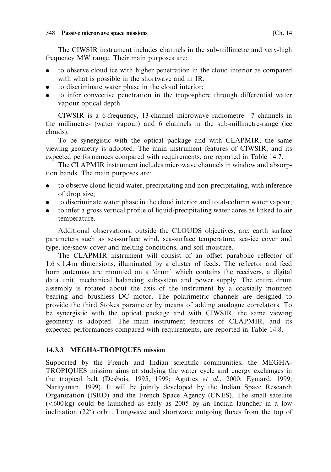#### 548 Passive microwave space missions

The CIWSIR instrument includes channels in the sub-millimetre and very-high frequency MW range. Their main purposes are:

- to observe cloud ice with higher penetration in the cloud interior as compared with what is possible in the shortwave and in IR;
- to discriminate water phase in the cloud interior;
- to infer convective penetration in the troposphere through differential water vapour optical depth.

CIWSIR is a 6-frequency, 13-channel microwave radiometre-7 channels in the millimetre- (water vapour) and 6 channels in the sub-millimetre-range (ice clouds).

To be synergistic with the optical package and with CLAPMIR, the same viewing geometry is adopted. The main instrument features of CIWSIR, and its expected performances compared with requirements, are reported in Table 14.7.

The CLAPMIR instrument includes microwave channels in window and absorption bands. The main purposes are:

- to observe cloud liquid water, precipitating and non-precipitating, with inference  $\bullet$ of drop size;
- to discriminate water phase in the cloud interior and total-column water vapour;
- to infer a gross vertical profile of liquid/precipitating water cores as linked to air  $\bullet$ temperature.

Additional observations, outside the CLOUDS objectives, are: earth surface parameters such as sea-surface wind, sea-surface temperature, sea-ice cover and type, ice/snow cover and melting conditions, and soil moisture.

The CLAPMIR instrument will consist of an offset parabolic reflector of  $1.6 \times 1.4$  m dimensions, illuminated by a cluster of feeds. The reflector and feed horn antennas are mounted on a 'drum' which contains the receivers, a digital data unit, mechanical balancing subsystem and power supply. The entire drum assembly is rotated about the axis of the instrument by a coaxially mounted bearing and brushless DC motor. The polarimetric channels are designed to provide the third Stokes parameter by means of adding analogue correlators. To be synergistic with the optical package and with CIWSIR, the same viewing geometry is adopted. The main instrument features of CLAPMIR, and its expected performances compared with requirements, are reported in Table 14.8.

### 14.3.3 MEGHA-TROPIQUES mission

Supported by the French and Indian scientific communities, the MEGHA-TROPIQUES mission aims at studying the water cycle and energy exchanges in the tropical belt (Desbois, 1995, 1999; Aguttes et al., 2000; Eymard, 1999; Narayanan, 1999). It will be jointly developed by the Indian Space Research Organization (ISRO) and the French Space Agency (CNES). The small satellite  $(<600 \text{ kg})$  could be launched as early as 2005 by an Indian launcher in a low inclination  $(22^{\circ})$  orbit. Longwave and shortwave outgoing fluxes from the top of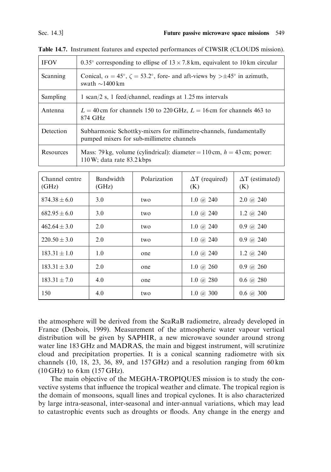| <b>IFOV</b> | 0.35° corresponding to ellipse of $13 \times 7.8$ km, equivalent to 10 km circular                                                      |
|-------------|-----------------------------------------------------------------------------------------------------------------------------------------|
| Scanning    | Conical, $\alpha = 45^{\circ}$ , $\zeta = 53.2^{\circ}$ , fore- and aft-views by $> \pm 45^{\circ}$ in azimuth,<br>swath $\sim$ 1400 km |
| Sampling    | 1 scan/2 s, 1 feed/channel, readings at 1.25 ms intervals                                                                               |
| Antenna     | $L = 40$ cm for channels 150 to 220 GHz, $L = 16$ cm for channels 463 to<br>874 GHz                                                     |
| Detection   | Subharmonic Schottky-mixers for millimetre-channels, fundamentally<br>pumped mixers for sub-millimetre channels                         |
| Resources   | Mass: 79 kg, volume (cylindrical): diameter = 110 cm, $h = 43$ cm; power:<br>$110 \,\mathrm{W}$ : data rate 83.2 kbps                   |

Table 14.7. Instrument features and expected performances of CIWSIR (CLOUDS mission).

| Channel centre<br>(GHz) | <b>Bandwidth</b><br>(GHz) | Polarization | $\Delta T$ (required)<br>(K)    | $\Delta T$ (estimated)<br>(K)   |
|-------------------------|---------------------------|--------------|---------------------------------|---------------------------------|
| $874.38 + 6.0$          | 3.0                       | two          | $1.0 \; \omega$ 240             | $2.0 \; \omega$ 240             |
| $682.95 + 6.0$          | 3.0                       | two          | 1.0 @ 240                       | 1.2 $\omega$ 240                |
| $462.64 + 3.0$          | 2.0                       | two          | $1.0 \; \omega$ 240             | $0.9 \; \omega$ 240             |
| $220.50 + 3.0$          | 2.0                       | two          | $1.0 \; \textcircled{a}$ 240    | $0.9 \; \omega$ 240             |
| $183.31 + 1.0$          | 1.0                       | one          | $1.0 \omega$ 240                | 1.2 $\omega$ 240                |
| $183.31 + 3.0$          | 2.0                       | one          | $1.0 \; \omega$ 260             | $0.9 \; \omega$ 260             |
| $183.31 + 7.0$          | 4.0                       | one          | 1.0 $\omega$ 280                | $0.6 \; \text{\textdegree}$ 280 |
| 150                     | 4.0                       | two          | $1.0 \; \textcircled{a} \; 300$ | $0.6 \; \textcircled{a} \; 300$ |

the atmosphere will be derived from the ScaRaB radiometre, already developed in France (Desbois, 1999). Measurement of the atmospheric water vapour vertical distribution will be given by SAPHIR, a new microwave sounder around strong water line 183 GHz and MADRAS, the main and biggest instrument, will scrutinize cloud and precipitation properties. It is a conical scanning radiometre with six channels  $(10, 18, 23, 36, 89,$  and  $157 \text{ GHz}$  and a resolution ranging from 60 km  $(10 \text{ GHz})$  to 6 km  $(157 \text{ GHz})$ .

The main objective of the MEGHA-TROPIQUES mission is to study the convective systems that influence the tropical weather and climate. The tropical region is the domain of monsoons, squall lines and tropical cyclones. It is also characterized by large intra-seasonal, inter-seasonal and inter-annual variations, which may lead to catastrophic events such as droughts or floods. Any change in the energy and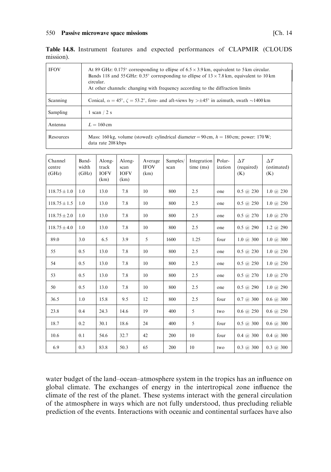#### 550 Passive microwave space missions

| <b>IFOV</b> | At 89 GHz: 0.175° corresponding to ellipse of $6.5 \times 3.9$ km, equivalent to 5 km circular.<br>Bands 118 and 55 GHz: 0.35° corresponding to ellipse of $13 \times 7.8$ km, equivalent to 10 km<br>circular.<br>At other channels: changing with frequency according to the diffraction limits |
|-------------|---------------------------------------------------------------------------------------------------------------------------------------------------------------------------------------------------------------------------------------------------------------------------------------------------|
| Scanning    | Conical, $\alpha = 45^{\circ}$ , $\zeta = 53.2^{\circ}$ , fore- and aft-views by $> \pm 45^{\circ}$ in azimuth, swath $\sim 1400$ km                                                                                                                                                              |
| Sampling    | 1 scan $/2s$                                                                                                                                                                                                                                                                                      |
| Antenna     | $L = 160 \text{ cm}$                                                                                                                                                                                                                                                                              |
| Resources   | Mass: 160 kg, volume (stowed): cylindrical diameter = 90 cm, $h = 180$ cm; power: 170 W;<br>data rate 208 kbps                                                                                                                                                                                    |

|           |  |  | Table 14.8. Instrument features and expected performances of CLAPMIR (CLOUDS |  |  |
|-----------|--|--|------------------------------------------------------------------------------|--|--|
| mission). |  |  |                                                                              |  |  |

| Channel<br>centre<br>(GHz) | Band-<br>width<br>(GHz) | Along-<br>track<br><b>IOFV</b><br>(km) | Along-<br>scan<br><b>IOFV</b><br>(km) | Average<br><b>IFOV</b><br>(km) | Samples/<br>scan | Integration<br>time (ms) | Polar-<br>ization | $\Delta T$<br>(required)<br>(K) | $\Delta T$<br>(estimated)<br>(K) |
|----------------------------|-------------------------|----------------------------------------|---------------------------------------|--------------------------------|------------------|--------------------------|-------------------|---------------------------------|----------------------------------|
| $118.75 \pm 1.0$           | 1.0                     | 13.0                                   | 7.8                                   | 10                             | 800              | 2.5                      | one               | $0.5 \ @ 230$                   | $1.0 \ @ \ 230$                  |
| $118.75 \pm 1.5$           | 1.0                     | 13.0                                   | 7.8                                   | 10                             | 800              | 2.5                      | one               | $0.5 \ @ 250$                   | $1.0 \; \omega$ 250              |
| $118.75 \pm 2.0$           | 1.0                     | 13.0                                   | 7.8                                   | 10                             | 800              | 2.5                      | one               | $0.5 \; (\omega 270)$           | $1.0 \; \omega$ 270              |
| $118.75 \pm 4.0$           | 1.0                     | 13.0                                   | 7.8                                   | 10                             | 800              | 2.5                      | one               | $0.5 \; (\bar{a}) 290$          | 1.2 $@290$                       |
| 89.0                       | 3.0                     | 6.5                                    | 3.9                                   | 5                              | 1600             | 1.25                     | four              | $1.0\ (a)\ 300$                 | $1.0 \; \omega \; 300$           |
| 55                         | 0.5                     | 13.0                                   | 7.8                                   | 10                             | 800              | 2.5                      | one               | $0.5 \; (\omega\; 230)$         | $1.0 \; \omega$ 230              |
| 54                         | 0.5                     | 13.0                                   | 7.8                                   | 10                             | 800              | 2.5                      | one               | $0.5 \; (\bar{\omega} \; 250)$  | $1.0 \; \omega$ 250              |
| 53                         | 0.5                     | 13.0                                   | 7.8                                   | 10                             | 800              | 2.5                      | one               | $0.5 \; (\hat{a}) 270$          | $1.0 \; \omega$ 270              |
| 50                         | 0.5                     | 13.0                                   | 7.8                                   | 10                             | 800              | 2.5                      | one               | $0.5 \; \textcircled{a}$ 290    | $1.0 \ @ 290$                    |
| 36.5                       | 1.0                     | 15.8                                   | 9.5                                   | 12                             | 800              | 2.5                      | four              | $0.7 \; \textcircled{a} \; 300$ | $0.6 \; @. 300$                  |
| 23.8                       | 0.4                     | 24.3                                   | 14.6                                  | 19                             | 400              | 5                        | two               | $0.6 \; (\bar{a}) 250$          | $0.6 \; (\omega 250)$            |
| 18.7                       | 0.2                     | 30.1                                   | 18.6                                  | 24                             | 400              | 5                        | four              | $0.5 \; (\omega)$ 300           | $0.6 \; @. 300$                  |
| 10.6                       | 0.1                     | 54.6                                   | 32.7                                  | 42                             | 200              | 10                       | four              | $0.4 \ @. 300$                  | $0.4 \ @. 300$                   |
| 6.9                        | 0.3                     | 83.8                                   | 50.3                                  | 65                             | 200              | 10                       | two               | $0.3 \; \omega \; 300$          | $0.3 \; \omega \; 300$           |

water budget of the land-ocean-atmosphere system in the tropics has an influence on global climate. The exchanges of energy in the intertropical zone influence the climate of the rest of the planet. These systems interact with the general circulation of the atmosphere in ways which are not fully understood, thus precluding reliable prediction of the events. Interactions with oceanic and continental surfaces have also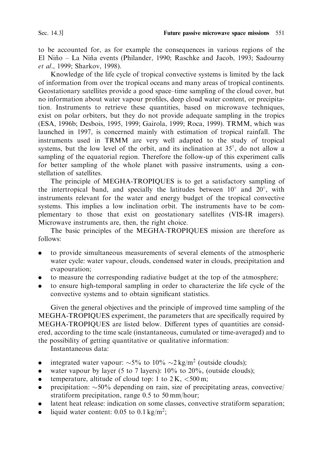to be accounted for, as for example the consequences in various regions of the El Niño - La Niña events (Philander, 1990; Raschke and Jacob, 1993; Sadourny et al., 1999; Sharkov, 1998).

Knowledge of the life cycle of tropical convective systems is limited by the lack of information from over the tropical oceans and many areas of tropical continents. Geostationary satellites provide a good space–time sampling of the cloud cover, but no information about water vapour profiles, deep cloud water content, or precipitation. Instruments to retrieve these quantities, based on microwave techniques, exist on polar orbiters, but they do not provide adequate sampling in the tropics (ESA, 1996b; Desbois, 1995, 1999; Gairola, 1999; Roca, 1999). TRMM, which was launched in 1997, is concerned mainly with estimation of tropical rainfall. The instruments used in TRMM are very well adapted to the study of tropical systems, but the low level of the orbit, and its inclination at 35°, do not allow a sampling of the equatorial region. Therefore the follow-up of this experiment calls for better sampling of the whole planet with passive instruments, using a constellation of satellites.

The principle of MEGHA-TROPIQUES is to get a satisfactory sampling of the intertropical band, and specially the latitudes between  $10^{\circ}$  and  $20^{\circ}$ , with instruments relevant for the water and energy budget of the tropical convective systems. This implies a low inclination orbit. The instruments have to be complementary to those that exist on geostationary satellites (VIS-IR imagers). Microwave instruments are, then, the right choice.

The basic principles of the MEGHA-TROPIQUES mission are therefore as follows:

- to provide simultaneous measurements of several elements of the atmospheric water cycle: water vapour, clouds, condensed water in clouds, precipitation and evapouration:
- to measure the corresponding radiative budget at the top of the atmosphere;
- to ensure high-temporal sampling in order to characterize the life cycle of the convective systems and to obtain significant statistics.

Given the general objectives and the principle of improved time sampling of the MEGHA-TROPIQUES experiment, the parameters that are specifically required by MEGHA-TROPIQUES are listed below. Different types of quantities are considered, according to the time scale (instantaneous, cumulated or time-averaged) and to the possibility of getting quantitative or qualitative information:

Instantaneous data:

- integrated water vapour:  $\sim 5\%$  to 10%  $\sim 2 \text{ kg/m}^2$  (outside clouds);  $\bullet$
- water vapour by layer (5 to 7 layers):  $10\%$  to  $20\%$ , (outside clouds);
- temperature, altitude of cloud top: 1 to  $2K$ ,  $\lt$  500 m;
- precipitation:  $\sim 50\%$  depending on rain, size of precipitating areas, convective/  $\bullet$ stratiform precipitation, range 0.5 to 50 mm/hour;
- latent heat release: indication on some classes, convective stratiform separation;  $\bullet$
- liquid water content: 0.05 to 0.1 kg/m<sup>2</sup>;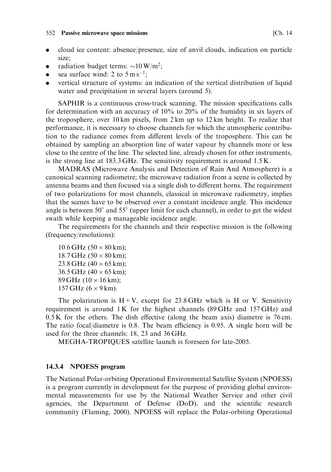#### 552 Passive microwave space missions

- cloud ice content: absence/presence, size of anyil clouds, indication on particle  $\bullet$ size:
- radiation budget terms:  $\sim$ 10 W/m<sup>2</sup>;  $\bullet$
- sea surface wind: 2 to  $5 \text{ m s}^{-1}$ ;
- vertical structure of systems: an indication of the vertical distribution of liquid water and precipitation in several layers (around 5).

SAPHIR is a continuous cross-track scanning. The mission specifications calls for determination with an accuracy of  $10\%$  to  $20\%$  of the humidity in six layers of the troposphere, over 10 km pixels, from  $2 \text{ km}$  up to  $12 \text{ km}$  height. To realize that performance, it is necessary to choose channels for which the atmospheric contribution to the radiance comes from different levels of the troposphere. This can be obtained by sampling an absorption line of water vapour by channels more or less close to the centre of the line. The selected line, already chosen for other instruments, is the strong line at  $183.3 \text{ GHz}$ . The sensitivity requirement is around  $1.5 \text{ K}$ .

MADRAS (Microwave Analysis and Detection of Rain And Atmosphere) is a canonical scanning radiometre; the microwave radiation from a scene is collected by antenna beams and then focused via a single dish to different horns. The requirement of two polarizations for most channels, classical in microwave radiometry, implies that the scenes have to be observed over a constant incidence angle. This incidence angle is between  $50^{\circ}$  and  $55^{\circ}$  (upper limit for each channel), in order to get the widest swath while keeping a manageable incidence angle.

The requirements for the channels and their respective mission is the following (frequency/resolutions):

10.6 GHz  $(50 \times 80 \text{ km})$ ; 18.7 GHz  $(50 \times 80 \text{ km})$ ; 23.8 GHz  $(40 \times 65 \text{ km})$ ; 36.5 GHz  $(40 \times 65 \text{ km})$ ; 89 GHz  $(10 \times 16 \text{ km})$ ; 157 GHz  $(6 \times 9 \text{ km})$ .

The polarization is  $H + V$ , except for 23.8 GHz which is H or V. Sensitivity requirement is around  $1K$  for the highest channels (89 GHz and  $157$  GHz) and  $0.5$  K for the others. The dish effective (along the beam axis) diametre is 76 cm. The ratio focal/diametre is 0.8. The beam efficiency is 0.95. A single horn will be used for the three channels: 18, 23 and 36 GHz.

MEGHA-TROPIQUES satellite launch is foreseen for late-2005.

#### 14.3.4 NPOESS program

The National Polar-orbiting Operational Environmental Satellite System (NPOESS) is a program currently in development for the purpose of providing global environmental measurements for use by the National Weather Service and other civil agencies, the Department of Defense (DoD), and the scientific research community (Flaming, 2000). NPOESS will replace the Polar-orbiting Operational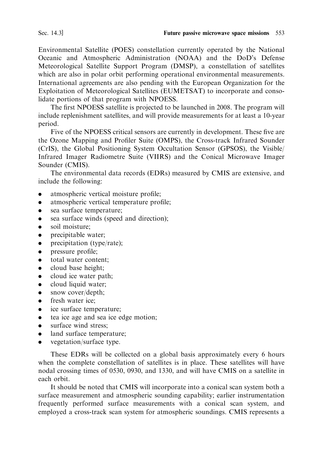Environmental Satellite (POES) constellation currently operated by the National Oceanic and Atmospheric Administration (NOAA) and the DoD's Defense Meteorological Satellite Support Program (DMSP), a constellation of satellites which are also in polar orbit performing operational environmental measurements. International agreements are also pending with the European Organization for the Exploitation of Meteorological Satellites (EUMETSAT) to incorporate and consolidate portions of that program with NPOESS.

The first NPOESS satellite is projected to be launched in 2008. The program will include replenishment satellites, and will provide measurements for at least a 10-year period.

Five of the NPOESS critical sensors are currently in development. These five are the Ozone Mapping and Profiler Suite (OMPS), the Cross-track Infrared Sounder (CrIS), the Global Positioning System Occultation Sensor (GPSOS), the Visible/ Infrared Imager Radiometre Suite (VIIRS) and the Conical Microwave Imager Sounder (CMIS).

The environmental data records (EDRs) measured by CMIS are extensive, and include the following:

- atmospheric vertical moisture profile;
- atmospheric vertical temperature profile;
- sea surface temperature;
- sea surface winds (speed and direction);
- soil moisture:
- precipitable water;  $\bullet$
- precipitation (type/rate);  $\bullet$
- pressure profile;
- total water content:  $\bullet$
- cloud base height;  $\bullet$
- cloud ice water path;  $\bullet$
- cloud liquid water;  $\bullet$
- snow cover/depth;  $\bullet$
- fresh water ice:
- ice surface temperature:
- tea ice age and sea ice edge motion:
- surface wind stress:
- land surface temperature;
- vegetation/surface type.  $\bullet$

These EDRs will be collected on a global basis approximately every 6 hours when the complete constellation of satellites is in place. These satellites will have nodal crossing times of 0530, 0930, and 1330, and will have CMIS on a satellite in each orbit.

It should be noted that CMIS will incorporate into a conical scan system both a surface measurement and atmospheric sounding capability; earlier instrumentation frequently performed surface measurements with a conical scan system, and employed a cross-track scan system for atmospheric soundings. CMIS represents a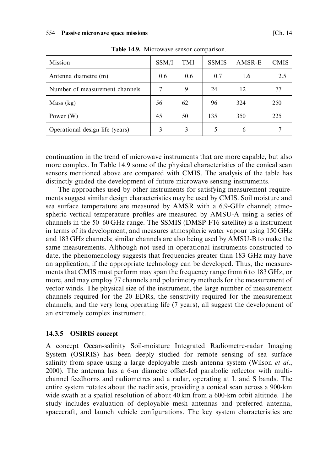| Mission                         | SSM/I | TMI | <b>SSMIS</b> | AMSR-E | <b>CMIS</b> |
|---------------------------------|-------|-----|--------------|--------|-------------|
| Antenna diametre (m)            | 0.6   | 0.6 | 0.7          | 1.6    | 2.5         |
| Number of measurement channels  |       | 9   | 24           | 12     |             |
| Mass (kg)                       | 56    | 62  | 96           | 324    | 250         |
| Power $(W)$                     | 45    | 50  | 135          | 350    | 225         |
| Operational design life (years) | 3     | 3   |              | 6      |             |

Table 14.9. Microwave sensor comparison.

continuation in the trend of microwave instruments that are more capable, but also more complex. In Table 14.9 some of the physical characteristics of the conical scan sensors mentioned above are compared with CMIS. The analysis of the table has distinctly guided the development of future microwave sensing instruments.

The approaches used by other instruments for satisfying measurement requirements suggest similar design characteristics may be used by CMIS. Soil moisture and sea surface temperature are measured by AMSR with a 6.9-GHz channel; atmospheric vertical temperature profiles are measured by AMSU-A using a series of channels in the 50–60 GHz range. The SSMIS (DMSP F16 satellite) is a instrument in terms of its development, and measures atmospheric water vapour using 150 GHz and 183 GHz channels; similar channels are also being used by AMSU-B to make the same measurements. Although not used in operational instruments constructed to date, the phenomenology suggests that frequencies greater than 183 GHz may have an application, if the appropriate technology can be developed. Thus, the measurements that CMIS must perform may span the frequency range from 6 to 183 GHz, or more, and may employ 77 channels and polarimetry methods for the measurement of vector winds. The physical size of the instrument, the large number of measurement channels required for the 20 EDRs, the sensitivity required for the measurement channels, and the very long operating life (7 years), all suggest the development of an extremely complex instrument.

#### 14.3.5 OSIRIS concept

A concept Ocean-salinity Soil-moisture Integrated Radiometre-radar Imaging System (OSIRIS) has been deeply studied for remote sensing of sea surface salinity from space using a large deployable mesh antenna system (Wilson et al., 2000). The antenna has a 6-m diametre offset-fed parabolic reflector with multichannel feedhorns and radiometres and a radar, operating at L and S bands. The entire system rotates about the nadir axis, providing a conical scan across a 900-km wide swath at a spatial resolution of about 40 km from a 600-km orbit altitude. The study includes evaluation of deployable mesh antennas and preferred antenna, spacecraft, and launch vehicle configurations. The key system characteristics are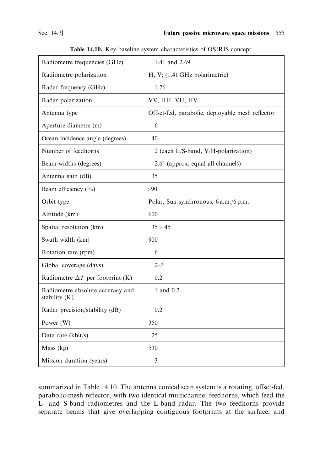| Radiometre frequencies (GHz)                      | 1.41 and 2.69                                    |  |
|---------------------------------------------------|--------------------------------------------------|--|
| Radiometre polarization                           | H, V; (1.41 GHz polarimetric)                    |  |
| Radar frequency (GHz)                             | 1.26                                             |  |
| Radar polarization                                | VV, HH, VH, HV                                   |  |
| Antenna type                                      | Offset-fed, parabolic, deployable mesh reflector |  |
| Aperture diametre (m)                             | 6                                                |  |
| Ocean incidence angle (degrees)                   | 40                                               |  |
| Number of feedhorns                               | 2 (each L/S-band, V/H-polarization)              |  |
| Beam widths (degrees)                             | 2.6° (approx. equal all channels)                |  |
| Antenna gain (dB)                                 | 35                                               |  |
| Beam efficiency $(\% )$                           | > 90                                             |  |
| Orbit type                                        | Polar, Sun-synchronous, 6 a.m./6 p.m.            |  |
| Altitude (km)                                     | 600                                              |  |
| Spatial resolution (km)                           | $35 \times 45$                                   |  |
| Swath width (km)                                  | 900                                              |  |
| Rotation rate (rpm)                               | 6                                                |  |
| Global coverage (days)                            | $2 - 3$                                          |  |
| Radiometre $\Delta T$ per footprint (K)           | 0.2                                              |  |
| Radiometre absolute accuracy and<br>stability (K) | 1 and 0.2                                        |  |
| Radar precision/stability (dB)                    | 0.2                                              |  |
| Power (W)                                         | 350                                              |  |
| Data rate (kbit/s)                                | 25                                               |  |
| Mass $(kg)$                                       | 530                                              |  |
| Mission duration (years)                          | 3                                                |  |

Table 14.10. Key baseline system characteristics of OSIRIS concept.

summarized in Table 14.10. The antenna conical scan system is a rotating, offset-fed, parabolic-mesh reflector, with two identical multichannel feedhorns, which feed the L- and S-band radiometres and the L-band radar. The two feedhorns provide separate beams that give overlapping contiguous footprints at the surface, and